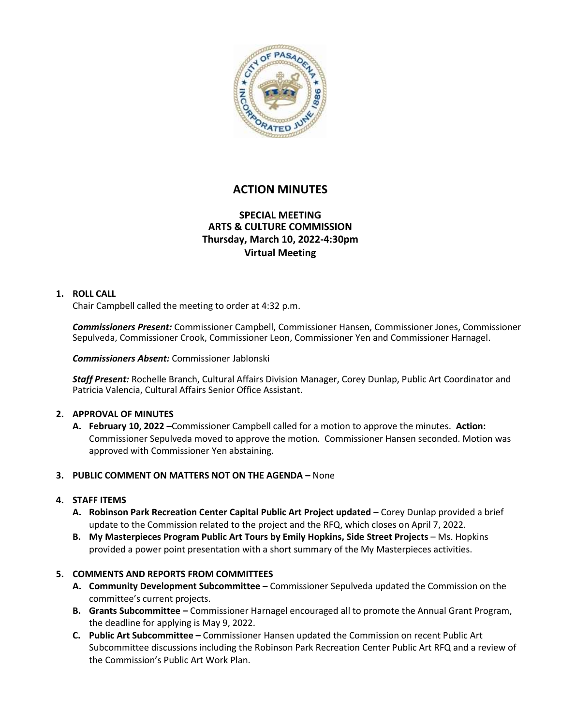

# **ACTION MINUTES**

## **SPECIAL MEETING ARTS & CULTURE COMMISSION Thursday, March 10, 2022-4:30pm Virtual Meeting**

#### **1. ROLL CALL**

Chair Campbell called the meeting to order at 4:32 p.m.

*Commissioners Present:* Commissioner Campbell, Commissioner Hansen, Commissioner Jones, Commissioner Sepulveda, Commissioner Crook, Commissioner Leon, Commissioner Yen and Commissioner Harnagel.

*Commissioners Absent:* Commissioner Jablonski

*Staff Present:* Rochelle Branch, Cultural Affairs Division Manager, Corey Dunlap, Public Art Coordinator and Patricia Valencia, Cultural Affairs Senior Office Assistant.

### **2. APPROVAL OF MINUTES**

**A. February 10, 2022 –**Commissioner Campbell called for a motion to approve the minutes. **Action:**  Commissioner Sepulveda moved to approve the motion. Commissioner Hansen seconded. Motion was approved with Commissioner Yen abstaining.

### **3. PUBLIC COMMENT ON MATTERS NOT ON THE AGENDA –** None

### **4. STAFF ITEMS**

- **A. Robinson Park Recreation Center Capital Public Art Project updated** Corey Dunlap provided a brief update to the Commission related to the project and the RFQ, which closes on April 7, 2022.
- **B. My Masterpieces Program Public Art Tours by Emily Hopkins, Side Street Projects** Ms. Hopkins provided a power point presentation with a short summary of the My Masterpieces activities.

### **5. COMMENTS AND REPORTS FROM COMMITTEES**

- **A. Community Development Subcommittee –** Commissioner Sepulveda updated the Commission on the committee's current projects.
- **B. Grants Subcommittee –** Commissioner Harnagel encouraged all to promote the Annual Grant Program, the deadline for applying is May 9, 2022.
- **C. Public Art Subcommittee –** Commissioner Hansen updated the Commission on recent Public Art Subcommittee discussions including the Robinson Park Recreation Center Public Art RFQ and a review of the Commission's Public Art Work Plan.